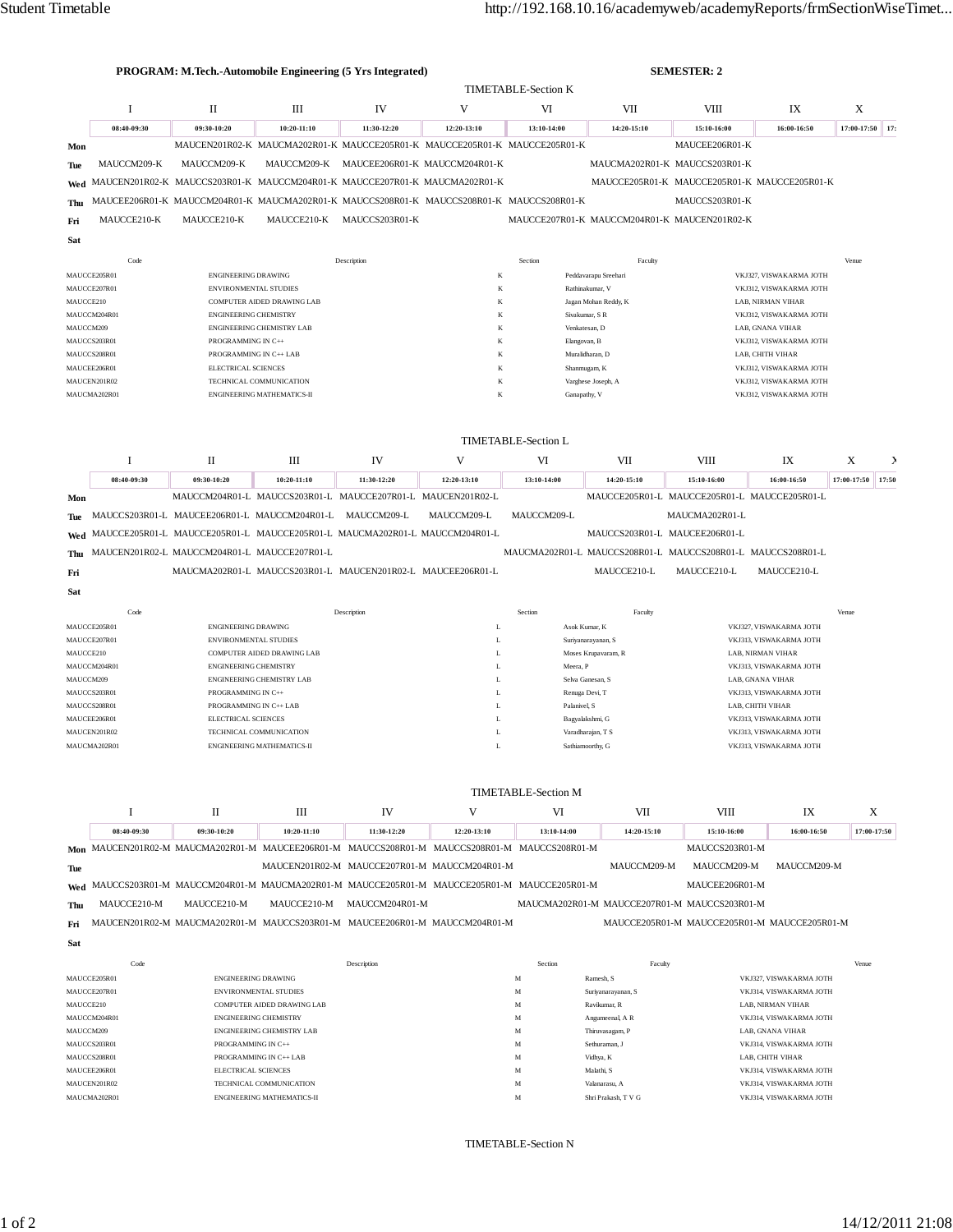|              |              |                              | <b>PROGRAM: M.Tech.-Automobile Engineering (5 Yrs Integrated)</b> |                | <b>SEMESTER: 2</b>                                                                        |                            |                                         |                                              |                         |                 |   |
|--------------|--------------|------------------------------|-------------------------------------------------------------------|----------------|-------------------------------------------------------------------------------------------|----------------------------|-----------------------------------------|----------------------------------------------|-------------------------|-----------------|---|
|              |              |                              |                                                                   |                |                                                                                           | <b>TIMETABLE-Section K</b> |                                         |                                              |                         |                 |   |
|              |              | $\mathbf{I}$                 | $\mathbf{III}$                                                    | IV             | V                                                                                         | VI                         | VII                                     | <b>VIII</b>                                  | IX                      | X               |   |
|              | 08:40-09:30  | 09:30-10:20                  | $10:20 - 11:10$                                                   | 11:30-12:20    | 12:20-13:10                                                                               | 13:10-14:00                | 14:20-15:10                             | 15:10-16:00                                  | 16:00-16:50             | 17:00-17:50 17: |   |
| Mon          |              |                              |                                                                   |                | MAUCEN201R02-K MAUCMA202R01-K MAUCCE205R01-K MAUCCE205R01-K MAUCCE205R01-K                |                            |                                         | MAUCEE206R01-K                               |                         |                 |   |
| Tue          | MAUCCM209-K  | MAUCCM209-K                  | MAUCCM209-K                                                       |                | MAUCEE206R01-K MAUCCM204R01-K                                                             |                            |                                         | MAUCMA202R01-K MAUCCS203R01-K                |                         |                 |   |
| Wed          |              |                              |                                                                   |                | MAUCEN201R02-K MAUCCS203R01-K MAUCCM204R01-K MAUCCE207R01-K MAUCMA202R01-K                |                            |                                         | MAUCCE205R01-K MAUCCE205R01-K MAUCCE205R01-K |                         |                 |   |
| Thu          |              |                              |                                                                   |                | MAUCEE206R01-K MAUCCM204R01-K MAUCMA202R01-K MAUCCS208R01-K MAUCCS208R01-K MAUCCS208R01-K |                            |                                         | MAUCCS203R01-K                               |                         |                 |   |
| Fri          | MAUCCE210-K  | MAUCCE210-K                  | MAUCCE210-K                                                       | MAUCCS203R01-K |                                                                                           |                            |                                         | MAUCCE207R01-K MAUCCM204R01-K MAUCEN201R02-K |                         |                 |   |
| Sat          |              |                              |                                                                   |                |                                                                                           |                            |                                         |                                              |                         |                 |   |
|              | Code         |                              |                                                                   | Description    |                                                                                           | Section                    | Faculty                                 |                                              |                         | Venue           |   |
| MAUCCE205R01 |              |                              | <b>ENGINEERING DRAWING</b>                                        |                | K                                                                                         |                            | Peddavarapu Sreehari                    | VKJ327, VISWAKARMA JOTH                      |                         |                 |   |
| MAUCCE207R01 |              |                              | ENVIRONMENTAL STUDIES                                             |                | K                                                                                         |                            | Rathinakumar, V                         |                                              | VKJ312, VISWAKARMA JOTH |                 |   |
|              | MAUCCE210    |                              | COMPUTER AIDED DRAWING LAB                                        |                | K                                                                                         |                            | Jagan Mohan Reddy, K                    |                                              | LAB, NIRMAN VIHAR       |                 |   |
|              | MAUCCM204R01 | <b>ENGINEERING CHEMISTRY</b> |                                                                   |                | K                                                                                         |                            | Sivakumar, S R                          |                                              | VKJ312, VISWAKARMA JOTH |                 |   |
|              | MAUCCM209    |                              | ENGINEERING CHEMISTRY LAB                                         |                | K                                                                                         |                            | Venkatesan, D<br>LAB, GNANA VIHAR       |                                              |                         |                 |   |
|              | MAUCCS203R01 | PROGRAMMING IN C++           |                                                                   |                | K                                                                                         |                            | Elangovan, B<br>VKJ312, VISWAKARMA JOTH |                                              |                         |                 |   |
|              | MAUCCS208R01 | PROGRAMMING IN C++ LAB       |                                                                   |                | K                                                                                         |                            | Muralidharan, D                         |                                              | LAB, CHITH VIHAR        |                 |   |
|              | MAUCEE206R01 | ELECTRICAL SCIENCES          |                                                                   |                | K                                                                                         |                            | Shanmugam, K                            |                                              | VKJ312. VISWAKARMA JOTH |                 |   |
|              | MAUCEN201R02 |                              | TECHNICAL COMMUNICATION                                           |                | K                                                                                         | Varghese Joseph, A         |                                         | VKJ312, VISWAKARMA JOTH                      |                         |                 |   |
|              | MAUCMA202R01 |                              | ENGINEERING MATHEMATICS-II                                        |                | K                                                                                         | Ganapathy, V               |                                         |                                              | VKJ312, VISWAKARMA JOTH |                 |   |
|              |              |                              |                                                                   |                |                                                                                           | <b>TIMETABLE-Section L</b> |                                         |                                              |                         |                 |   |
|              |              |                              |                                                                   |                |                                                                                           |                            |                                         |                                              |                         |                 |   |
|              |              | П                            | III                                                               | IV             | V                                                                                         | VI                         | <b>VII</b>                              | <b>VIII</b>                                  | IX                      | X               | Σ |

|     | 08:40-09:30 | 09:30-10:20                                      | $10:20-11:10$                                                                  | 11:30-12:20 | 12:20-13:10 | 13:10-14:00 | 14:20-15:10 | 15:10-16:00                                                 | 16:00-16:50 | 17:00-17:50 | 17:50 |
|-----|-------------|--------------------------------------------------|--------------------------------------------------------------------------------|-------------|-------------|-------------|-------------|-------------------------------------------------------------|-------------|-------------|-------|
| Mon |             |                                                  | MAUCCM204R01-L MAUCCS203R01-L MAUCCE207R01-L MAUCEN201R02-L                    |             |             |             |             | MAUCCE205R01-L. MAUCCE205R01-L. MAUCCE205R01-L.             |             |             |       |
|     |             |                                                  | The MAUCCS203R01-L MAUCEE206R01-L MAUCCM204R01-L MAUCCM209-L                   |             | MAUCCM209-L | MAUCCM209-L |             | MAUCMA202R01-L                                              |             |             |       |
|     |             |                                                  | Wed MAUCCE205R01-L MAUCCE205R01-L MAUCCE205R01-L MAUCMA202R01-L MAUCCM204R01-L |             |             |             |             | MAUCCS203R01-L. MAUCEE206R01-L.                             |             |             |       |
|     |             | Thu MAUCEN201R02-L MAUCCM204R01-L MAUCCE207R01-L |                                                                                |             |             |             |             | MAUCMA202R01-L MAUCCS208R01-L MAUCCS208R01-L MAUCCS208R01-L |             |             |       |
| Fri |             |                                                  | MAUCMA202R01-L MAUCCS203R01-L MAUCEN201R02-L MAUCEE206R01-L                    |             |             |             | MAUCCE210-L | MAUCCE210-L                                                 | MAUCCE210-L |             |       |
| Sat |             |                                                  |                                                                                |             |             |             |             |                                                             |             |             |       |

|              | Code | Description                       | Section | Faculty             | Venue                   |
|--------------|------|-----------------------------------|---------|---------------------|-------------------------|
| MAUCCE205R01 |      | <b>ENGINEERING DRAWING</b>        |         | Asok Kumar, K       | VKJ327, VISWAKARMA JOTH |
| MAUCCE207R01 |      | <b>ENVIRONMENTAL STUDIES</b>      | ÷.      | Suriyanarayanan, S  | VKJ313, VISWAKARMA JOTH |
| MAUCCE210    |      | <b>COMPUTER AIDED DRAWING LAB</b> | ≖       | Moses Krupavaram, R | LAB. NIRMAN VIHAR       |
| MAUCCM204R01 |      | <b>ENGINEERING CHEMISTRY</b>      | ≖       | Meera, P            | VKJ313, VISWAKARMA JOTH |
| MAUCCM209    |      | <b>ENGINEERING CHEMISTRY LAB</b>  | ≖       | Selva Ganesan, S.   | LAB, GNANA VIHAR        |
| MAUCCS203R01 |      | PROGRAMMING IN C++                | ≖       | Renuga Devi, T      | VKJ313, VISWAKARMA JOTH |
| MAUCCS208R01 |      | PROGRAMMING IN C++ LAB            | ⊷       | Palanivel, S        | LAB. CHITH VIHAR        |
| MAUCEE206R01 |      | <b>ELECTRICAL SCIENCES</b>        | ≖       | Bagyalakshmi, G     | VKJ313, VISWAKARMA JOTH |
| MAUCEN201R02 |      | TECHNICAL COMMUNICATION           | ⊷       | Varadharajan, T S   | VKJ313, VISWAKARMA JOTH |
| MAUCMA202R01 |      | <b>ENGINEERING MATHEMATICS-II</b> |         | Sathiamoorthy, G    | VKJ313, VISWAKARMA JOTH |

|           |              | <b>TIMETABLE-Section M</b>                                                                    |                                   |                                              |             |             |                                              |                                              |                         |             |  |
|-----------|--------------|-----------------------------------------------------------------------------------------------|-----------------------------------|----------------------------------------------|-------------|-------------|----------------------------------------------|----------------------------------------------|-------------------------|-------------|--|
|           |              | $_{\rm II}$                                                                                   | Ш                                 | IV                                           | V           | VI          | VII                                          | <b>VIII</b>                                  | IX                      | X           |  |
|           | 08:40-09:30  | 09:30-10:20                                                                                   | 10:20-11:10                       | 11:30-12:20                                  | 12:20-13:10 | 13:10-14:00 | 14:20-15:10                                  | 15:10-16:00                                  | 16:00-16:50             | 17:00-17:50 |  |
| Mon       |              | MAUCEN201R02-M MAUCMA202R01-M MAUCEE206R01-M MAUCCS208R01-M MAUCCS208R01-M MAUCCS208R01-M     |                                   |                                              |             |             |                                              | MAUCCS203R01-M                               |                         |             |  |
| Tue       |              |                                                                                               |                                   | MAUCEN201R02-M MAUCCE207R01-M MAUCCM204R01-M |             |             | MAUCCM209-M                                  | MAUCCM209-M                                  | MAUCCM209-M             |             |  |
|           |              | Wed MAUCCS203R01-M MAUCCM204R01-M MAUCMA202R01-M MAUCCE205R01-M MAUCCE205R01-M MAUCCE205R01-M |                                   |                                              |             |             |                                              | MAUCEE206R01-M                               |                         |             |  |
| Thu       | MAUCCE210-M  | MAUCCE210-M                                                                                   | MAUCCE210-M                       | MAUCCM204R01-M                               |             |             | MAUCMA202R01-M MAUCCE207R01-M MAUCCS203R01-M |                                              |                         |             |  |
| Fri       |              | MAUCEN201R02-M MAUCMA202R01-M MAUCCS203R01-M MAUCEE206R01-M MAUCCM204R01-M                    |                                   |                                              |             |             |                                              | MAUCCE205R01-M MAUCCE205R01-M MAUCCE205R01-M |                         |             |  |
| Sat       |              |                                                                                               |                                   |                                              |             |             |                                              |                                              |                         |             |  |
|           | Code         |                                                                                               |                                   | Description                                  |             | Section     | Faculty                                      |                                              |                         | Venue       |  |
|           | MAUCCE205R01 | <b>ENGINEERING DRAWING</b>                                                                    |                                   |                                              |             | M           | Ramesh, S                                    |                                              | VKJ327, VISWAKARMA JOTH |             |  |
|           | MAUCCE207R01 | <b>ENVIRONMENTAL STUDIES</b>                                                                  |                                   |                                              |             | M           | Suriyanarayanan, S                           |                                              | VKJ314, VISWAKARMA JOTH |             |  |
| MAUCCE210 |              |                                                                                               | <b>COMPUTER AIDED DRAWING LAB</b> |                                              |             | M           | Ravikumar, R                                 |                                              | LAB. NIRMAN VIHAR       |             |  |
|           | MAUCCM204R01 | <b>ENGINEERING CHEMISTRY</b>                                                                  |                                   |                                              |             | M           | Angumeenal, A R                              |                                              | VKJ314. VISWAKARMA JOTH |             |  |
| MAUCCM209 |              |                                                                                               | <b>ENGINEERING CHEMISTRY LAB</b>  |                                              |             | M           | Thiruvasagam, P                              |                                              | LAB. GNANA VIHAR        |             |  |
|           | MAUCCS203R01 | PROGRAMMING IN C++                                                                            |                                   |                                              |             | M           | Sethuraman, J                                |                                              | VKJ314, VISWAKARMA JOTH |             |  |
|           | MAUCCS208R01 | PROGRAMMING IN C++ LAB                                                                        |                                   |                                              |             | M           | Vidhya, K                                    |                                              | LAB. CHITH VIHAR        |             |  |
|           | MAUCEE206R01 | <b>ELECTRICAL SCIENCES</b>                                                                    |                                   |                                              |             | M           | Malathi, S                                   |                                              | VKJ314, VISWAKARMA JOTH |             |  |
|           | MAUCEN201R02 |                                                                                               | TECHNICAL COMMUNICATION           |                                              |             | M           | Valanarasu, A                                |                                              | VKJ314. VISWAKARMA JOTH |             |  |
|           | MAUCMA202R01 |                                                                                               | <b>ENGINEERING MATHEMATICS-II</b> |                                              |             | M           | Shri Prakash, T V G                          |                                              | VKJ314, VISWAKARMA JOTH |             |  |

TIMETABLE-Section N